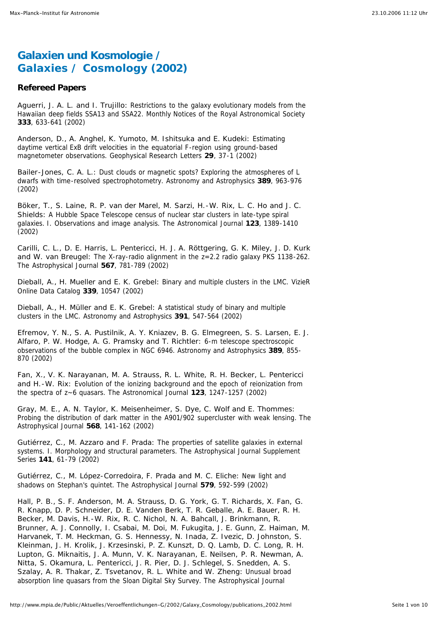# **Galaxien und Kosmologie /** *Galaxies / Cosmology* **(2002)**

# **Refereed Papers**

*Aguerri, J. A. L. and I. Trujillo:* Restrictions to the galaxy evolutionary models from the Hawaiian deep fields SSA13 and SSA22. Monthly Notices of the Royal Astronomical Society **333**, 633-641 (2002)

*Anderson, D., A. Anghel, K. Yumoto, M. Ishitsuka and E. Kudeki:* Estimating daytime vertical ExB drift velocities in the equatorial F-region using ground-based magnetometer observations. Geophysical Research Letters **29**, 37-1 (2002)

*Bailer-Jones, C. A. L.:* Dust clouds or magnetic spots? Exploring the atmospheres of L dwarfs with time-resolved spectrophotometry. Astronomy and Astrophysics **389**, 963-976 (2002)

*Böker, T., S. Laine, R. P. van der Marel, M. Sarzi, H.-W. Rix, L. C. Ho and J. C. Shields:* A Hubble Space Telescope census of nuclear star clusters in late-type spiral galaxies. I. Observations and image analysis. The Astronomical Journal **123**, 1389-1410 (2002)

*Carilli, C. L., D. E. Harris, L. Pentericci, H. J. A. Röttgering, G. K. Miley, J. D. Kurk and W. van Breugel:* The X-ray-radio alignment in the z=2.2 radio galaxy PKS 1138-262. The Astrophysical Journal **567**, 781-789 (2002)

*Dieball, A., H. Mueller and E. K. Grebel:* Binary and multiple clusters in the LMC. VizieR Online Data Catalog **339**, 10547 (2002)

*Dieball, A., H. Müller and E. K. Grebel:* A statistical study of binary and multiple clusters in the LMC. Astronomy and Astrophysics **391**, 547-564 (2002)

*Efremov, Y. N., S. A. Pustilnik, A. Y. Kniazev, B. G. Elmegreen, S. S. Larsen, E. J. Alfaro, P. W. Hodge, A. G. Pramsky and T. Richtler:* 6-m telescope spectroscopic observations of the bubble complex in NGC 6946. Astronomy and Astrophysics **389**, 855- 870 (2002)

*Fan, X., V. K. Narayanan, M. A. Strauss, R. L. White, R. H. Becker, L. Pentericci and H.-W. Rix:* Evolution of the ionizing background and the epoch of reionization from the spectra of z~6 quasars. The Astronomical Journal **123**, 1247-1257 (2002)

*Gray, M. E., A. N. Taylor, K. Meisenheimer, S. Dye, C. Wolf and E. Thommes:* Probing the distribution of dark matter in the A901/902 supercluster with weak lensing. The Astrophysical Journal **568**, 141-162 (2002)

*Gutiérrez, C., M. Azzaro and F. Prada:* The properties of satellite galaxies in external systems. I. Morphology and structural parameters. The Astrophysical Journal Supplement Series **141**, 61-79 (2002)

*Gutiérrez, C., M. López-Corredoira, F. Prada and M. C. Eliche:* New light and shadows on Stephan's quintet. The Astrophysical Journal **579**, 592-599 (2002)

*Hall, P. B., S. F. Anderson, M. A. Strauss, D. G. York, G. T. Richards, X. Fan, G. R. Knapp, D. P. Schneider, D. E. Vanden Berk, T. R. Geballe, A. E. Bauer, R. H. Becker, M. Davis, H.-W. Rix, R. C. Nichol, N. A. Bahcall, J. Brinkmann, R. Brunner, A. J. Connolly, I. Csabai, M. Doi, M. Fukugita, J. E. Gunn, Z. Haiman, M. Harvanek, T. M. Heckman, G. S. Hennessy, N. Inada, Z. Ivezic, D. Johnston, S. Kleinman, J. H. Krolik, J. Krzesinski, P. Z. Kunszt, D. Q. Lamb, D. C. Long, R. H. Lupton, G. Miknaitis, J. A. Munn, V. K. Narayanan, E. Neilsen, P. R. Newman, A. Nitta, S. Okamura, L. Pentericci, J. R. Pier, D. J. Schlegel, S. Snedden, A. S. Szalay, A. R. Thakar, Z. Tsvetanov, R. L. White and W. Zheng:* Unusual broad absorption line quasars from the Sloan Digital Sky Survey. The Astrophysical Journal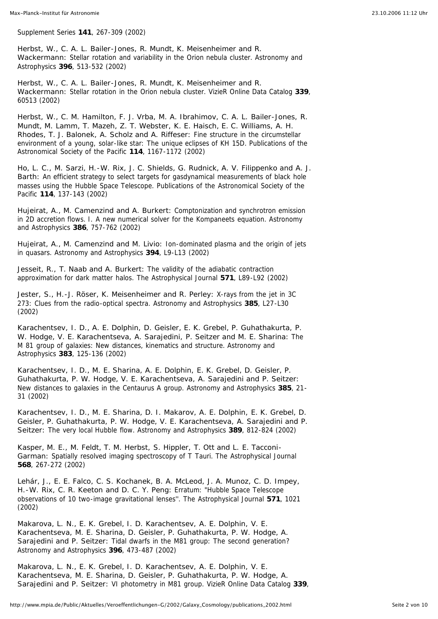Supplement Series **141**, 267-309 (2002)

*Herbst, W., C. A. L. Bailer-Jones, R. Mundt, K. Meisenheimer and R. Wackermann:* Stellar rotation and variability in the Orion nebula cluster. Astronomy and Astrophysics **396**, 513-532 (2002)

*Herbst, W., C. A. L. Bailer-Jones, R. Mundt, K. Meisenheimer and R. Wackermann:* Stellar rotation in the Orion nebula cluster. VizieR Online Data Catalog **339**, 60513 (2002)

*Herbst, W., C. M. Hamilton, F. J. Vrba, M. A. Ibrahimov, C. A. L. Bailer-Jones, R. Mundt, M. Lamm, T. Mazeh, Z. T. Webster, K. E. Haisch, E. C. Williams, A. H. Rhodes, T. J. Balonek, A. Scholz and A. Riffeser:* Fine structure in the circumstellar environment of a young, solar-like star: The unique eclipses of KH 15D. Publications of the Astronomical Society of the Pacific **114**, 1167-1172 (2002)

*Ho, L. C., M. Sarzi, H.-W. Rix, J. C. Shields, G. Rudnick, A. V. Filippenko and A. J. Barth:* An efficient strategy to select targets for gasdynamical measurements of black hole masses using the Hubble Space Telescope. Publications of the Astronomical Society of the Pacific **114**, 137-143 (2002)

*Hujeirat, A., M. Camenzind and A. Burkert:* Comptonization and synchrotron emission in 2D accretion flows. I. A new numerical solver for the Kompaneets equation. Astronomy and Astrophysics **386**, 757-762 (2002)

*Hujeirat, A., M. Camenzind and M. Livio:* Ion-dominated plasma and the origin of jets in quasars. Astronomy and Astrophysics **394**, L9-L13 (2002)

*Jesseit, R., T. Naab and A. Burkert:* The validity of the adiabatic contraction approximation for dark matter halos. The Astrophysical Journal **571**, L89-L92 (2002)

*Jester, S., H.-J. Röser, K. Meisenheimer and R. Perley:* X-rays from the jet in 3C 273: Clues from the radio-optical spectra. Astronomy and Astrophysics **385**, L27-L30 (2002)

*Karachentsev, I. D., A. E. Dolphin, D. Geisler, E. K. Grebel, P. Guhathakurta, P. W. Hodge, V. E. Karachentseva, A. Sarajedini, P. Seitzer and M. E. Sharina:* The M 81 group of galaxies: New distances, kinematics and structure. Astronomy and Astrophysics **383**, 125-136 (2002)

*Karachentsev, I. D., M. E. Sharina, A. E. Dolphin, E. K. Grebel, D. Geisler, P. Guhathakurta, P. W. Hodge, V. E. Karachentseva, A. Sarajedini and P. Seitzer:* New distances to galaxies in the Centaurus A group. Astronomy and Astrophysics **385**, 21- 31 (2002)

*Karachentsev, I. D., M. E. Sharina, D. I. Makarov, A. E. Dolphin, E. K. Grebel, D. Geisler, P. Guhathakurta, P. W. Hodge, V. E. Karachentseva, A. Sarajedini and P. Seitzer:* The very local Hubble flow. Astronomy and Astrophysics **389**, 812-824 (2002)

*Kasper, M. E., M. Feldt, T. M. Herbst, S. Hippler, T. Ott and L. E. Tacconi-Garman:* Spatially resolved imaging spectroscopy of T Tauri. The Astrophysical Journal **568**, 267-272 (2002)

*Lehár, J., E. E. Falco, C. S. Kochanek, B. A. McLeod, J. A. Munoz, C. D. Impey, H.-W. Rix, C. R. Keeton and D. C. Y. Peng:* Erratum: "Hubble Space Telescope observations of 10 two-image gravitational lenses''. The Astrophysical Journal **571**, 1021 (2002)

*Makarova, L. N., E. K. Grebel, I. D. Karachentsev, A. E. Dolphin, V. E. Karachentseva, M. E. Sharina, D. Geisler, P. Guhathakurta, P. W. Hodge, A. Sarajedini and P. Seitzer:* Tidal dwarfs in the M81 group: The second generation? Astronomy and Astrophysics **396**, 473-487 (2002)

*Makarova, L. N., E. K. Grebel, I. D. Karachentsev, A. E. Dolphin, V. E. Karachentseva, M. E. Sharina, D. Geisler, P. Guhathakurta, P. W. Hodge, A. Sarajedini and P. Seitzer:* VI photometry in M81 group. VizieR Online Data Catalog **339**,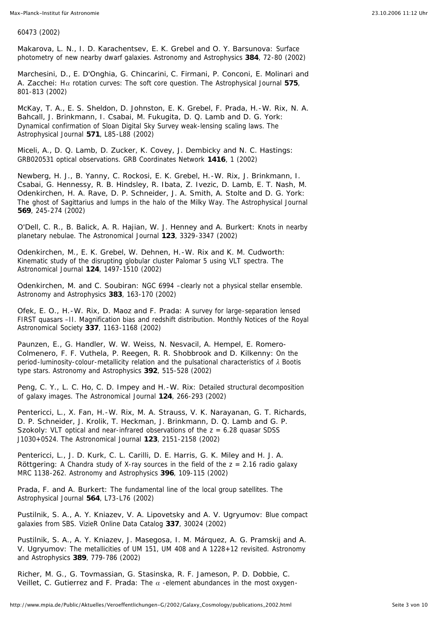60473 (2002)

*Makarova, L. N., I. D. Karachentsev, E. K. Grebel and O. Y. Barsunova:* Surface photometry of new nearby dwarf galaxies. Astronomy and Astrophysics **384**, 72-80 (2002)

*Marchesini, D., E. D'Onghia, G. Chincarini, C. Firmani, P. Conconi, E. Molinari and A. Zacchei:* H*a* rotation curves: The soft core question. The Astrophysical Journal **575**, 801-813 (2002)

*McKay, T. A., E. S. Sheldon, D. Johnston, E. K. Grebel, F. Prada, H.-W. Rix, N. A. Bahcall, J. Brinkmann, I. Csabai, M. Fukugita, D. Q. Lamb and D. G. York:* Dynamical confirmation of Sloan Digital Sky Survey weak-lensing scaling laws. The Astrophysical Journal **571**, L85-L88 (2002)

*Miceli, A., D. Q. Lamb, D. Zucker, K. Covey, J. Dembicky and N. C. Hastings:* GRB020531 optical observations. GRB Coordinates Network **1416**, 1 (2002)

*Newberg, H. J., B. Yanny, C. Rockosi, E. K. Grebel, H.-W. Rix, J. Brinkmann, I. Csabai, G. Hennessy, R. B. Hindsley, R. Ibata, Z. Ivezic, D. Lamb, E. T. Nash, M. Odenkirchen, H. A. Rave, D. P. Schneider, J. A. Smith, A. Stolte and D. G. York:* The ghost of Sagittarius and lumps in the halo of the Milky Way. The Astrophysical Journal **569**, 245-274 (2002)

*O'Dell, C. R., B. Balick, A. R. Hajian, W. J. Henney and A. Burkert:* Knots in nearby planetary nebulae. The Astronomical Journal **123**, 3329-3347 (2002)

*Odenkirchen, M., E. K. Grebel, W. Dehnen, H.-W. Rix and K. M. Cudworth:* Kinematic study of the disrupting globular cluster Palomar 5 using VLT spectra. The Astronomical Journal **124**, 1497-1510 (2002)

*Odenkirchen, M. and C. Soubiran:* NGC 6994 –clearly not a physical stellar ensemble. Astronomy and Astrophysics **383**, 163-170 (2002)

*Ofek, E. O., H.-W. Rix, D. Maoz and F. Prada:* A survey for large-separation lensed FIRST quasars –II. Magnification bias and redshift distribution. Monthly Notices of the Royal Astronomical Society **337**, 1163-1168 (2002)

*Paunzen, E., G. Handler, W. W. Weiss, N. Nesvacil, A. Hempel, E. Romero-Colmenero, F. F. Vuthela, P. Reegen, R. R. Shobbrook and D. Kilkenny:* On the period-luminosity-colour-metallicity relation and the pulsational characteristics of *l* Bootis type stars. Astronomy and Astrophysics **392**, 515-528 (2002)

*Peng, C. Y., L. C. Ho, C. D. Impey and H.-W. Rix:* Detailed structural decomposition of galaxy images. The Astronomical Journal **124**, 266-293 (2002)

*Pentericci, L., X. Fan, H.-W. Rix, M. A. Strauss, V. K. Narayanan, G. T. Richards, D. P. Schneider, J. Krolik, T. Heckman, J. Brinkmann, D. Q. Lamb and G. P. Szokoly:* VLT optical and near-infrared observations of the z = 6.28 quasar SDSS J1030+0524. The Astronomical Journal **123**, 2151-2158 (2002)

*Pentericci, L., J. D. Kurk, C. L. Carilli, D. E. Harris, G. K. Miley and H. J. A. Röttgering:* A Chandra study of X-ray sources in the field of the  $z = 2.16$  radio galaxy MRC 1138-262. Astronomy and Astrophysics **396**, 109-115 (2002)

*Prada, F. and A. Burkert:* The fundamental line of the local group satellites. The Astrophysical Journal **564**, L73-L76 (2002)

*Pustilnik, S. A., A. Y. Kniazev, V. A. Lipovetsky and A. V. Ugryumov:* Blue compact galaxies from SBS. VizieR Online Data Catalog **337**, 30024 (2002)

*Pustilnik, S. A., A. Y. Kniazev, J. Masegosa, I. M. Márquez, A. G. Pramskij and A. V. Ugryumov:* The metallicities of UM 151, UM 408 and A 1228+12 revisited. Astronomy and Astrophysics **389**, 779-786 (2002)

*Richer, M. G., G. Tovmassian, G. Stasinska, R. F. Jameson, P. D. Dobbie, C. Veillet, C. Gutierrez and F. Prada:* The  $\alpha$  -element abundances in the most oxygen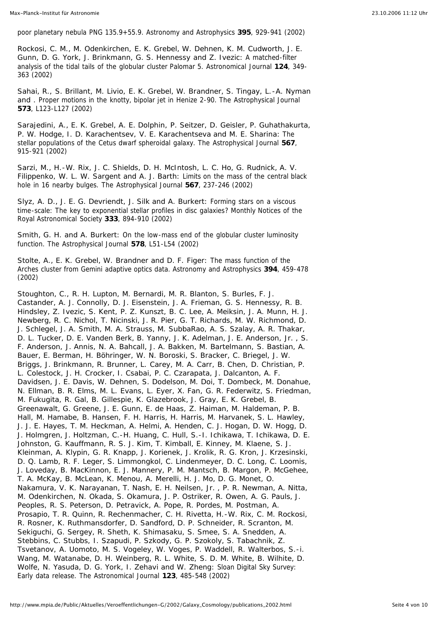poor planetary nebula PNG 135.9+55.9. Astronomy and Astrophysics **395**, 929-941 (2002)

*Rockosi, C. M., M. Odenkirchen, E. K. Grebel, W. Dehnen, K. M. Cudworth, J. E. Gunn, D. G. York, J. Brinkmann, G. S. Hennessy and Z. Ivezic:* A matched-filter analysis of the tidal tails of the globular cluster Palomar 5. Astronomical Journal **124**, 349- 363 (2002)

*Sahai, R., S. Brillant, M. Livio, E. K. Grebel, W. Brandner, S. Tingay, L.-A. Nyman and .* Proper motions in the knotty, bipolar jet in Henize 2-90. The Astrophysical Journal **573**, L123-L127 (2002)

*Sarajedini, A., E. K. Grebel, A. E. Dolphin, P. Seitzer, D. Geisler, P. Guhathakurta, P. W. Hodge, I. D. Karachentsev, V. E. Karachentseva and M. E. Sharina:* The stellar populations of the Cetus dwarf spheroidal galaxy. The Astrophysical Journal **567**, 915-921 (2002)

*Sarzi, M., H.-W. Rix, J. C. Shields, D. H. McIntosh, L. C. Ho, G. Rudnick, A. V. Filippenko, W. L. W. Sargent and A. J. Barth:* Limits on the mass of the central black hole in 16 nearby bulges. The Astrophysical Journal **567**, 237-246 (2002)

*Slyz, A. D., J. E. G. Devriendt, J. Silk and A. Burkert:* Forming stars on a viscous time-scale: The key to exponential stellar profiles in disc galaxies? Monthly Notices of the Royal Astronomical Society **333**, 894-910 (2002)

*Smith, G. H. and A. Burkert:* On the low-mass end of the globular cluster luminosity function. The Astrophysical Journal **578**, L51-L54 (2002)

*Stolte, A., E. K. Grebel, W. Brandner and D. F. Figer:* The mass function of the Arches cluster from Gemini adaptive optics data. Astronomy and Astrophysics **394**, 459-478 (2002)

*Stoughton, C., R. H. Lupton, M. Bernardi, M. R. Blanton, S. Burles, F. J. Castander, A. J. Connolly, D. J. Eisenstein, J. A. Frieman, G. S. Hennessy, R. B. Hindsley, Z. Ivezic, S. Kent, P. Z. Kunszt, B. C. Lee, A. Meiksin, J. A. Munn, H. J. Newberg, R. C. Nichol, T. Nicinski, J. R. Pier, G. T. Richards, M. W. Richmond, D. J. Schlegel, J. A. Smith, M. A. Strauss, M. SubbaRao, A. S. Szalay, A. R. Thakar, D. L. Tucker, D. E. Vanden Berk, B. Yanny, J. K. Adelman, J. E. Anderson, Jr. , S. F. Anderson, J. Annis, N. A. Bahcall, J. A. Bakken, M. Bartelmann, S. Bastian, A. Bauer, E. Berman, H. Böhringer, W. N. Boroski, S. Bracker, C. Briegel, J. W. Briggs, J. Brinkmann, R. Brunner, L. Carey, M. A. Carr, B. Chen, D. Christian, P. L. Colestock, J. H. Crocker, I. Csabai, P. C. Czarapata, J. Dalcanton, A. F. Davidsen, J. E. Davis, W. Dehnen, S. Dodelson, M. Doi, T. Dombeck, M. Donahue, N. Ellman, B. R. Elms, M. L. Evans, L. Eyer, X. Fan, G. R. Federwitz, S. Friedman, M. Fukugita, R. Gal, B. Gillespie, K. Glazebrook, J. Gray, E. K. Grebel, B. Greenawalt, G. Greene, J. E. Gunn, E. de Haas, Z. Haiman, M. Haldeman, P. B. Hall, M. Hamabe, B. Hansen, F. H. Harris, H. Harris, M. Harvanek, S. L. Hawley, J. J. E. Hayes, T. M. Heckman, A. Helmi, A. Henden, C. J. Hogan, D. W. Hogg, D. J. Holmgren, J. Holtzman, C.-H. Huang, C. Hull, S.-I. Ichikawa, T. Ichikawa, D. E. Johnston, G. Kauffmann, R. S. J. Kim, T. Kimball, E. Kinney, M. Klaene, S. J. Kleinman, A. Klypin, G. R. Knapp, J. Korienek, J. Krolik, R. G. Kron, J. Krzesinski, D. Q. Lamb, R. F. Leger, S. Limmongkol, C. Lindenmeyer, D. C. Long, C. Loomis, J. Loveday, B. MacKinnon, E. J. Mannery, P. M. Mantsch, B. Margon, P. McGehee, T. A. McKay, B. McLean, K. Menou, A. Merelli, H. J. Mo, D. G. Monet, O. Nakamura, V. K. Narayanan, T. Nash, E. H. Neilsen, Jr. , P. R. Newman, A. Nitta, M. Odenkirchen, N. Okada, S. Okamura, J. P. Ostriker, R. Owen, A. G. Pauls, J. Peoples, R. S. Peterson, D. Petravick, A. Pope, R. Pordes, M. Postman, A. Prosapio, T. R. Quinn, R. Rechenmacher, C. H. Rivetta, H.-W. Rix, C. M. Rockosi, R. Rosner, K. Ruthmansdorfer, D. Sandford, D. P. Schneider, R. Scranton, M. Sekiguchi, G. Sergey, R. Sheth, K. Shimasaku, S. Smee, S. A. Snedden, A. Stebbins, C. Stubbs, I. Szapudi, P. Szkody, G. P. Szokoly, S. Tabachnik, Z. Tsvetanov, A. Uomoto, M. S. Vogeley, W. Voges, P. Waddell, R. Walterbos, S.-i. Wang, M. Watanabe, D. H. Weinberg, R. L. White, S. D. M. White, B. Wilhite, D. Wolfe, N. Yasuda, D. G. York, I. Zehavi and W. Zheng:* Sloan Digital Sky Survey: Early data release. The Astronomical Journal **123**, 485-548 (2002)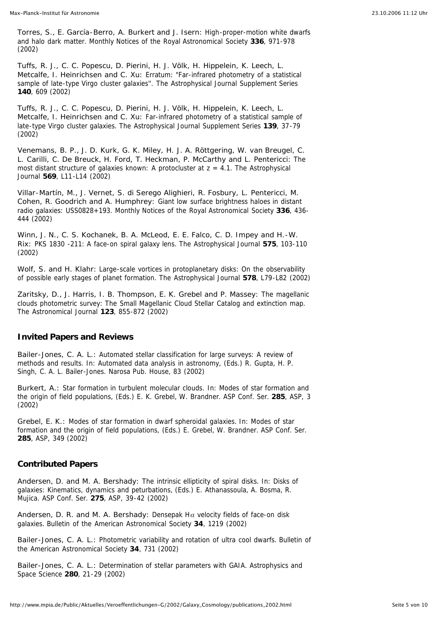*Torres, S., E. García-Berro, A. Burkert and J. Isern:* High-proper-motion white dwarfs and halo dark matter. Monthly Notices of the Royal Astronomical Society **336**, 971-978 (2002)

*Tuffs, R. J., C. C. Popescu, D. Pierini, H. J. Völk, H. Hippelein, K. Leech, L. Metcalfe, I. Heinrichsen and C. Xu:* Erratum: "Far-infrared photometry of a statistical sample of late-type Virgo cluster galaxies''. The Astrophysical Journal Supplement Series **140**, 609 (2002)

*Tuffs, R. J., C. C. Popescu, D. Pierini, H. J. Völk, H. Hippelein, K. Leech, L. Metcalfe, I. Heinrichsen and C. Xu:* Far-infrared photometry of a statistical sample of late-type Virgo cluster galaxies. The Astrophysical Journal Supplement Series **139**, 37-79 (2002)

*Venemans, B. P., J. D. Kurk, G. K. Miley, H. J. A. Röttgering, W. van Breugel, C. L. Carilli, C. De Breuck, H. Ford, T. Heckman, P. McCarthy and L. Pentericci:* The most distant structure of galaxies known: A protocluster at  $z = 4.1$ . The Astrophysical Journal **569**, L11-L14 (2002)

*Villar-Martín, M., J. Vernet, S. di Serego Alighieri, R. Fosbury, L. Pentericci, M. Cohen, R. Goodrich and A. Humphrey:* Giant low surface brightness haloes in distant radio galaxies: USS0828+193. Monthly Notices of the Royal Astronomical Society **336**, 436- 444 (2002)

*Winn, J. N., C. S. Kochanek, B. A. McLeod, E. E. Falco, C. D. Impey and H.-W. Rix:* PKS 1830 -211: A face-on spiral galaxy lens. The Astrophysical Journal **575**, 103-110 (2002)

*Wolf, S. and H. Klahr:* Large-scale vortices in protoplanetary disks: On the observability of possible early stages of planet formation. The Astrophysical Journal **578**, L79-L82 (2002)

*Zaritsky, D., J. Harris, I. B. Thompson, E. K. Grebel and P. Massey:* The magellanic clouds photometric survey: The Small Magellanic Cloud Stellar Catalog and extinction map. The Astronomical Journal **123**, 855-872 (2002)

# **Invited Papers and Reviews**

*Bailer-Jones, C. A. L.:* Automated stellar classification for large surveys: A review of methods and results. In: Automated data analysis in astronomy, (Eds.) R. Gupta, H. P. Singh, C. A. L. Bailer-Jones. Narosa Pub. House, 83 (2002)

*Burkert, A.:* Star formation in turbulent molecular clouds. In: Modes of star formation and the origin of field populations, (Eds.) E. K. Grebel, W. Brandner. ASP Conf. Ser. **285**, ASP, 3 (2002)

*Grebel, E. K.:* Modes of star formation in dwarf spheroidal galaxies. In: Modes of star formation and the origin of field populations, (Eds.) E. Grebel, W. Brandner. ASP Conf. Ser. **285**, ASP, 349 (2002)

# **Contributed Papers**

*Andersen, D. and M. A. Bershady:* The intrinsic ellipticity of spiral disks. In: Disks of galaxies: Kinematics, dynamics and peturbations, (Eds.) E. Athanassoula, A. Bosma, R. Mujica. ASP Conf. Ser. **275**, ASP, 39-42 (2002)

*Andersen, D. R. and M. A. Bershady:* Densepak H*a* velocity fields of face-on disk galaxies. Bulletin of the American Astronomical Society **34**, 1219 (2002)

*Bailer-Jones, C. A. L.:* Photometric variability and rotation of ultra cool dwarfs. Bulletin of the American Astronomical Society **34**, 731 (2002)

*Bailer-Jones, C. A. L.:* Determination of stellar parameters with GAIA. Astrophysics and Space Science **280**, 21-29 (2002)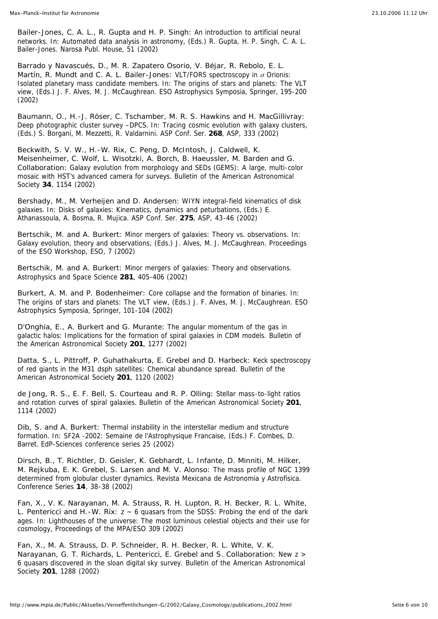*Bailer-Jones, C. A. L., R. Gupta and H. P. Singh:* An introduction to artificial neural networks. In: Automated data analysis in astronomy, (Eds.) R. Gupta, H. P. Singh, C. A. L. Bailer-Jones. Narosa Publ. House, 51 (2002)

*Barrado y Navascués, D., M. R. Zapatero Osorio, V. Béjar, R. Rebolo, E. L. Martín, R. Mundt and C. A. L. Bailer-Jones:* VLT/FORS spectroscopy in *s* Orionis: Isolated planetary mass candidate members. In: The origins of stars and planets: The VLT view, (Eds.) J. F. Alves, M. J. McCaughrean. ESO Astrophysics Symposia, Springer, 195-200 (2002)

*Baumann, O., H.-J. Röser, C. Tschamber, M. R. S. Hawkins and H. MacGillivray:* Deep photographic cluster survey –DPCS. In: Tracing cosmic evolution with galaxy clusters, (Eds.) S. Borgani, M. Mezzetti, R. Valdarnini. ASP Conf. Ser. **268**, ASP, 333 (2002)

*Beckwith, S. V. W., H.-W. Rix, C. Peng, D. McIntosh, J. Caldwell, K. Meisenheimer, C. Wolf, L. Wisotzki, A. Borch, B. Haeussler, M. Barden and G. Collaboration:* Galaxy evolution from morphology and SEDs (GEMS): A large, multi-color mosaic with HST's advanced camera for surveys. Bulletin of the American Astronomical Society **34**, 1154 (2002)

*Bershady, M., M. Verheijen and D. Andersen:* WIYN integral-field kinematics of disk galaxies. In: Disks of galaxies: Kinematics, dynamics and peturbations, (Eds.) E. Athanassoula, A. Bosma, R. Mujica. ASP Conf. Ser. **275**, ASP, 43-46 (2002)

*Bertschik, M. and A. Burkert:* Minor mergers of galaxies: Theory vs. observations. In: Galaxy evolution, theory and observations, (Eds.) J. Alves, M. J. McCaughrean. Proceedings of the ESO Workshop, ESO, 7 (2002)

*Bertschik, M. and A. Burkert:* Minor mergers of galaxies: Theory and observations. Astrophysics and Space Science **281**, 405-406 (2002)

*Burkert, A. M. and P. Bodenheimer:* Core collapse and the formation of binaries. In: The origins of stars and planets: The VLT view, (Eds.) J. F. Alves, M. J. McCaughrean. ESO Astrophysics Symposia, Springer, 101-104 (2002)

*D'Onghia, E., A. Burkert and G. Murante:* The angular momentum of the gas in galactic halos: Implications for the formation of spiral galaxies in CDM models. Bulletin of the American Astronomical Society **201**, 1277 (2002)

*Datta, S., L. Pittroff, P. Guhathakurta, E. Grebel and D. Harbeck:* Keck spectroscopy of red giants in the M31 dsph satellites: Chemical abundance spread. Bulletin of the American Astronomical Society **201**, 1120 (2002)

*de Jong, R. S., E. F. Bell, S. Courteau and R. P. Olling:* Stellar mass-to-light ratios and rotation curves of spiral galaxies. Bulletin of the American Astronomical Society **201**, 1114 (2002)

*Dib, S. and A. Burkert:* Thermal instability in the interstellar medium and structure formation. In: SF2A -2002: Semaine de l'Astrophysique Francaise, (Eds.) F. Combes, D. Barret. EdP-Sciences conference series 25 (2002)

*Dirsch, B., T. Richtler, D. Geisler, K. Gebhardt, L. Infante, D. Minniti, M. Hilker, M. Rejkuba, E. K. Grebel, S. Larsen and M. V. Alonso:* The mass profile of NGC 1399 determined from globular cluster dynamics. Revista Mexicana de Astronomia y Astrofisica. Conference Series **14**, 38-38 (2002)

*Fan, X., V. K. Narayanan, M. A. Strauss, R. H. Lupton, R. H. Becker, R. L. White, L. Pentericci and H.-W. Rix:* z ~ 6 quasars from the SDSS: Probing the end of the dark ages. In: Lighthouses of the universe: The most luminous celestial objects and their use for cosmology, Proceedings of the MPA/ESO 309 (2002)

*Fan, X., M. A. Strauss, D. P. Schneider, R. H. Becker, R. L. White, V. K. Narayanan, G. T. Richards, L. Pentericci, E. Grebel and S. Collaboration:* New z > 6 quasars discovered in the sloan digital sky survey. Bulletin of the American Astronomical Society **201**, 1288 (2002)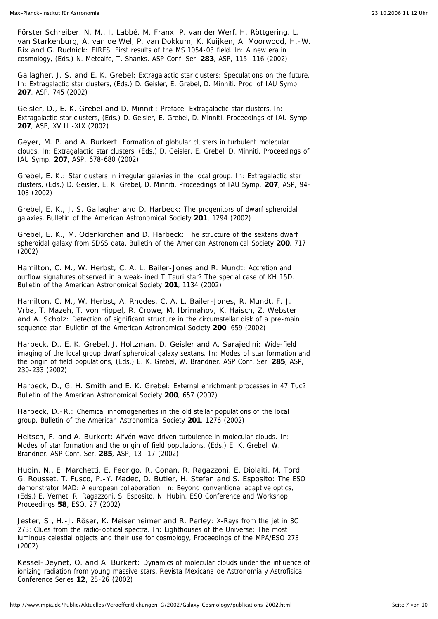*Förster Schreiber, N. M., I. Labbé, M. Franx, P. van der Werf, H. Röttgering, L. van Starkenburg, A. van de Wel, P. van Dokkum, K. Kuijken, A. Moorwood, H.-W. Rix and G. Rudnick:* FIRES: First results of the MS 1054-03 field. In: A new era in cosmology, (Eds.) N. Metcalfe, T. Shanks. ASP Conf. Ser. **283**, ASP, 115 -116 (2002)

*Gallagher, J. S. and E. K. Grebel:* Extragalactic star clusters: Speculations on the future. In: Extragalactic star clusters, (Eds.) D. Geisler, E. Grebel, D. Minniti. Proc. of IAU Symp. **207**, ASP, 745 (2002)

*Geisler, D., E. K. Grebel and D. Minniti:* Preface: Extragalactic star clusters. In: Extragalactic star clusters, (Eds.) D. Geisler, E. Grebel, D. Minniti. Proceedings of IAU Symp. **207**, ASP, XVIII -XIX (2002)

*Geyer, M. P. and A. Burkert:* Formation of globular clusters in turbulent molecular clouds. In: Extragalactic star clusters, (Eds.) D. Geisler, E. Grebel, D. Minniti. Proceedings of IAU Symp. **207**, ASP, 678-680 (2002)

*Grebel, E. K.:* Star clusters in irregular galaxies in the local group. In: Extragalactic star clusters, (Eds.) D. Geisler, E. K. Grebel, D. Minniti. Proceedings of IAU Symp. **207**, ASP, 94- 103 (2002)

*Grebel, E. K., J. S. Gallagher and D. Harbeck:* The progenitors of dwarf spheroidal galaxies. Bulletin of the American Astronomical Society **201**, 1294 (2002)

*Grebel, E. K., M. Odenkirchen and D. Harbeck:* The structure of the sextans dwarf spheroidal galaxy from SDSS data. Bulletin of the American Astronomical Society **200**, 717 (2002)

*Hamilton, C. M., W. Herbst, C. A. L. Bailer-Jones and R. Mundt:* Accretion and outflow signatures observed in a weak-lined T Tauri star? The special case of KH 15D. Bulletin of the American Astronomical Society **201**, 1134 (2002)

*Hamilton, C. M., W. Herbst, A. Rhodes, C. A. L. Bailer-Jones, R. Mundt, F. J. Vrba, T. Mazeh, T. von Hippel, R. Crowe, M. Ibrimahov, K. Haisch, Z. Webster and A. Scholz:* Detection of significant structure in the circumstellar disk of a pre-main sequence star. Bulletin of the American Astronomical Society **200**, 659 (2002)

*Harbeck, D., E. K. Grebel, J. Holtzman, D. Geisler and A. Sarajedini:* Wide-field imaging of the local group dwarf spheroidal galaxy sextans. In: Modes of star formation and the origin of field populations, (Eds.) E. K. Grebel, W. Brandner. ASP Conf. Ser. **285**, ASP, 230-233 (2002)

*Harbeck, D., G. H. Smith and E. K. Grebel:* External enrichment processes in 47 Tuc? Bulletin of the American Astronomical Society **200**, 657 (2002)

*Harbeck, D.-R.:* Chemical inhomogeneities in the old stellar populations of the local group. Bulletin of the American Astronomical Society **201**, 1276 (2002)

*Heitsch, F. and A. Burkert:* Alfvén-wave driven turbulence in molecular clouds. In: Modes of star formation and the origin of field populations, (Eds.) E. K. Grebel, W. Brandner. ASP Conf. Ser. **285**, ASP, 13 -17 (2002)

*Hubin, N., E. Marchetti, E. Fedrigo, R. Conan, R. Ragazzoni, E. Diolaiti, M. Tordi, G. Rousset, T. Fusco, P.-Y. Madec, D. Butler, H. Stefan and S. Esposito:* The ESO demonstrator MAD: A european collaboration. In: Beyond conventional adaptive optics, (Eds.) E. Vernet, R. Ragazzoni, S. Esposito, N. Hubin. ESO Conference and Workshop Proceedings **58**, ESO, 27 (2002)

*Jester, S., H.-J. Röser, K. Meisenheimer and R. Perley:* X-Rays from the jet in 3C 273: Clues from the radio-optical spectra. In: Lighthouses of the Universe: The most luminous celestial objects and their use for cosmology, Proceedings of the MPA/ESO 273 (2002)

*Kessel-Deynet, O. and A. Burkert:* Dynamics of molecular clouds under the influence of ionizing radiation from young massive stars. Revista Mexicana de Astronomia y Astrofisica. Conference Series **12**, 25-26 (2002)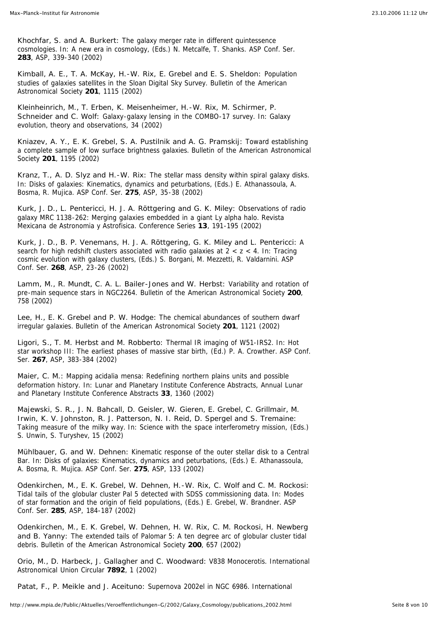*Khochfar, S. and A. Burkert:* The galaxy merger rate in different quintessence cosmologies. In: A new era in cosmology, (Eds.) N. Metcalfe, T. Shanks. ASP Conf. Ser. **283**, ASP, 339-340 (2002)

*Kimball, A. E., T. A. McKay, H.-W. Rix, E. Grebel and E. S. Sheldon:* Population studies of galaxies satellites in the Sloan Digital Sky Survey. Bulletin of the American Astronomical Society **201**, 1115 (2002)

*Kleinheinrich, M., T. Erben, K. Meisenheimer, H.-W. Rix, M. Schirmer, P. Schneider and C. Wolf:* Galaxy-galaxy lensing in the COMBO-17 survey. In: Galaxy evolution, theory and observations, 34 (2002)

*Kniazev, A. Y., E. K. Grebel, S. A. Pustilnik and A. G. Pramskij:* Toward establishing a complete sample of low surface brightness galaxies. Bulletin of the American Astronomical Society **201**, 1195 (2002)

*Kranz, T., A. D. Slyz and H.-W. Rix:* The stellar mass density within spiral galaxy disks. In: Disks of galaxies: Kinematics, dynamics and peturbations, (Eds.) E. Athanassoula, A. Bosma, R. Mujica. ASP Conf. Ser. **275**, ASP, 35-38 (2002)

*Kurk, J. D., L. Pentericci, H. J. A. Röttgering and G. K. Miley:* Observations of radio galaxy MRC 1138-262: Merging galaxies embedded in a giant Ly alpha halo. Revista Mexicana de Astronomia y Astrofisica. Conference Series **13**, 191-195 (2002)

*Kurk, J. D., B. P. Venemans, H. J. A. Röttgering, G. K. Miley and L. Pentericci:* A search for high redshift clusters associated with radio galaxies at  $2 < z < 4$ . In: Tracing cosmic evolution with galaxy clusters, (Eds.) S. Borgani, M. Mezzetti, R. Valdarnini. ASP Conf. Ser. **268**, ASP, 23-26 (2002)

*Lamm, M., R. Mundt, C. A. L. Bailer-Jones and W. Herbst:* Variability and rotation of pre-main sequence stars in NGC2264. Bulletin of the American Astronomical Society **200**, 758 (2002)

*Lee, H., E. K. Grebel and P. W. Hodge:* The chemical abundances of southern dwarf irregular galaxies. Bulletin of the American Astronomical Society **201**, 1121 (2002)

*Ligori, S., T. M. Herbst and M. Robberto:* Thermal IR imaging of W51-IRS2. In: Hot star workshop III: The earliest phases of massive star birth, (Ed.) P. A. Crowther. ASP Conf. Ser. **267**, ASP, 383-384 (2002)

*Maier, C. M.:* Mapping acidalia mensa: Redefining northern plains units and possible deformation history. In: Lunar and Planetary Institute Conference Abstracts, Annual Lunar and Planetary Institute Conference Abstracts **33**, 1360 (2002)

*Majewski, S. R., J. N. Bahcall, D. Geisler, W. Gieren, E. Grebel, C. Grillmair, M. Irwin, K. V. Johnston, R. J. Patterson, N. I. Reid, D. Spergel and S. Tremaine:* Taking measure of the milky way. In: Science with the space interferometry mission, (Eds.) S. Unwin, S. Turyshev, 15 (2002)

*Mühlbauer, G. and W. Dehnen:* Kinematic response of the outer stellar disk to a Central Bar. In: Disks of galaxies: Kinematics, dynamics and peturbations, (Eds.) E. Athanassoula, A. Bosma, R. Mujica. ASP Conf. Ser. **275**, ASP, 133 (2002)

*Odenkirchen, M., E. K. Grebel, W. Dehnen, H.-W. Rix, C. Wolf and C. M. Rockosi:* Tidal tails of the globular cluster Pal 5 detected with SDSS commissioning data. In: Modes of star formation and the origin of field populations, (Eds.) E. Grebel, W. Brandner. ASP Conf. Ser. **285**, ASP, 184-187 (2002)

*Odenkirchen, M., E. K. Grebel, W. Dehnen, H. W. Rix, C. M. Rockosi, H. Newberg and B. Yanny:* The extended tails of Palomar 5: A ten degree arc of globular cluster tidal debris. Bulletin of the American Astronomical Society **200**, 657 (2002)

*Orio, M., D. Harbeck, J. Gallagher and C. Woodward:* V838 Monocerotis. International Astronomical Union Circular **7892**, 1 (2002)

*Patat, F., P. Meikle and J. Aceituno:* Supernova 2002el in NGC 6986. International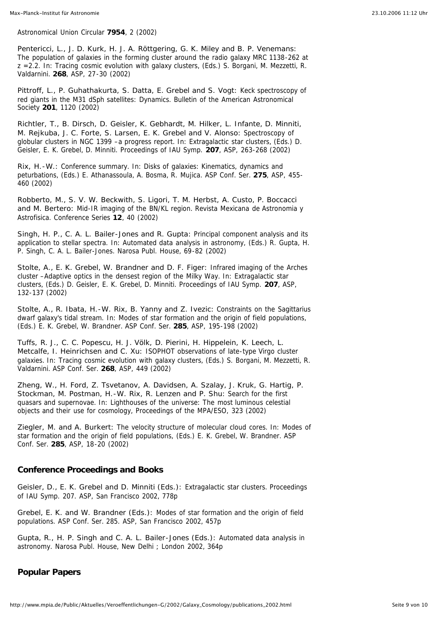Astronomical Union Circular **7954**, 2 (2002)

*Pentericci, L., J. D. Kurk, H. J. A. Röttgering, G. K. Miley and B. P. Venemans:* The population of galaxies in the forming cluster around the radio galaxy MRC 1138-262 at z =2.2. In: Tracing cosmic evolution with galaxy clusters, (Eds.) S. Borgani, M. Mezzetti, R. Valdarnini. **268**, ASP, 27-30 (2002)

*Pittroff, L., P. Guhathakurta, S. Datta, E. Grebel and S. Vogt:* Keck spectroscopy of red giants in the M31 dSph satellites: Dynamics. Bulletin of the American Astronomical Society **201**, 1120 (2002)

*Richtler, T., B. Dirsch, D. Geisler, K. Gebhardt, M. Hilker, L. Infante, D. Minniti, M. Rejkuba, J. C. Forte, S. Larsen, E. K. Grebel and V. Alonso:* Spectroscopy of globular clusters in NGC 1399 –a progress report. In: Extragalactic star clusters, (Eds.) D. Geisler, E. K. Grebel, D. Minniti. Proceedings of IAU Symp. **207**, ASP, 263-268 (2002)

*Rix, H.-W.:* Conference summary. In: Disks of galaxies: Kinematics, dynamics and peturbations, (Eds.) E. Athanassoula, A. Bosma, R. Mujica. ASP Conf. Ser. **275**, ASP, 455- 460 (2002)

*Robberto, M., S. V. W. Beckwith, S. Ligori, T. M. Herbst, A. Custo, P. Boccacci and M. Bertero:* Mid-IR imaging of the BN/KL region. Revista Mexicana de Astronomia y Astrofisica. Conference Series **12**, 40 (2002)

*Singh, H. P., C. A. L. Bailer-Jones and R. Gupta:* Principal component analysis and its application to stellar spectra. In: Automated data analysis in astronomy, (Eds.) R. Gupta, H. P. Singh, C. A. L. Bailer-Jones. Narosa Publ. House, 69-82 (2002)

*Stolte, A., E. K. Grebel, W. Brandner and D. F. Figer:* Infrared imaging of the Arches cluster –Adaptive optics in the densest region of the Milky Way. In: Extragalactic star clusters, (Eds.) D. Geisler, E. K. Grebel, D. Minniti. Proceedings of IAU Symp. **207**, ASP, 132-137 (2002)

*Stolte, A., R. Ibata, H.-W. Rix, B. Yanny and Z. Ivezic:* Constraints on the Sagittarius dwarf galaxy's tidal stream. In: Modes of star formation and the origin of field populations, (Eds.) E. K. Grebel, W. Brandner. ASP Conf. Ser. **285**, ASP, 195-198 (2002)

*Tuffs, R. J., C. C. Popescu, H. J. Völk, D. Pierini, H. Hippelein, K. Leech, L. Metcalfe, I. Heinrichsen and C. Xu:* ISOPHOT observations of late-type Virgo cluster galaxies. In: Tracing cosmic evolution with galaxy clusters, (Eds.) S. Borgani, M. Mezzetti, R. Valdarnini. ASP Conf. Ser. **268**, ASP, 449 (2002)

*Zheng, W., H. Ford, Z. Tsvetanov, A. Davidsen, A. Szalay, J. Kruk, G. Hartig, P. Stockman, M. Postman, H.-W. Rix, R. Lenzen and P. Shu:* Search for the first quasars and supernovae. In: Lighthouses of the universe: The most luminous celestial objects and their use for cosmology, Proceedings of the MPA/ESO, 323 (2002)

*Ziegler, M. and A. Burkert:* The velocity structure of molecular cloud cores. In: Modes of star formation and the origin of field populations, (Eds.) E. K. Grebel, W. Brandner. ASP Conf. Ser. **285**, ASP, 18-20 (2002)

# **Conference Proceedings and Books**

*Geisler, D., E. K. Grebel and D. Minniti (Eds.):* Extragalactic star clusters. Proceedings of IAU Symp. 207. ASP, San Francisco 2002, 778p

*Grebel, E. K. and W. Brandner (Eds.):* Modes of star formation and the origin of field populations. ASP Conf. Ser. 285. ASP, San Francisco 2002, 457p

*Gupta, R., H. P. Singh and C. A. L. Bailer-Jones (Eds.):* Automated data analysis in astronomy. Narosa Publ. House, New Delhi ; London 2002, 364p

# **Popular Papers**